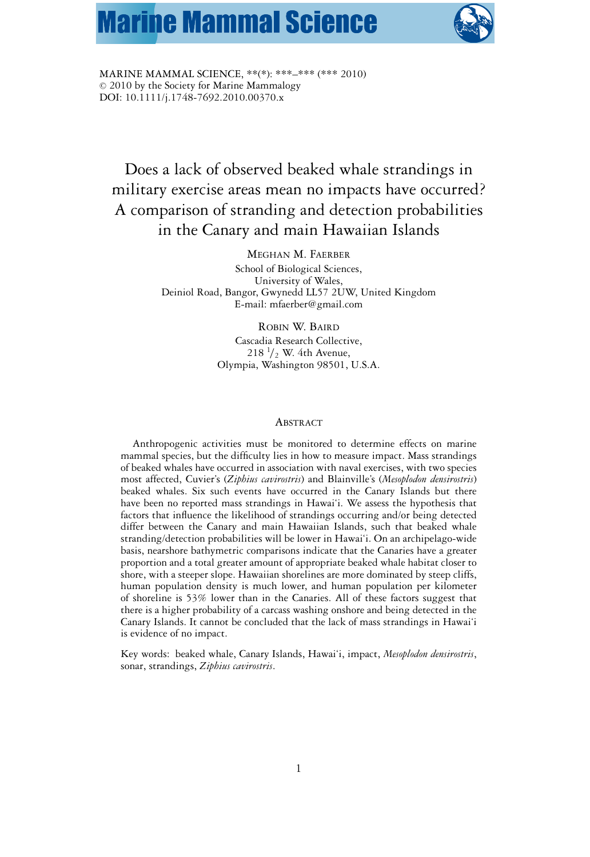# **Marine Mammal Science**



MARINE MAMMAL SCIENCE, \*\*(\*): \*\*\*–\*\*\* (\*\*\* 2010)  $© 2010$  by the Society for Marine Mammalogy DOI: 10.1111/j.1748-7692.2010.00370.x

# Does a lack of observed beaked whale strandings in military exercise areas mean no impacts have occurred? A comparison of stranding and detection probabilities in the Canary and main Hawaiian Islands

MEGHAN M. FAERBER

School of Biological Sciences, University of Wales, Deiniol Road, Bangor, Gwynedd LL57 2UW, United Kingdom E-mail: mfaerber@gmail.com

ROBIN W. BAIRD

Cascadia Research Collective, 218  $\frac{1}{2}$  W. 4th Avenue, Olympia, Washington 98501, U.S.A.

## **ABSTRACT**

Anthropogenic activities must be monitored to determine effects on marine mammal species, but the difficulty lies in how to measure impact. Mass strandings of beaked whales have occurred in association with naval exercises, with two species most affected, Cuvier's (*Ziphius cavirostris*) and Blainville's (*Mesoplodon densirostris*) beaked whales. Six such events have occurred in the Canary Islands but there have been no reported mass strandings in Hawai'i. We assess the hypothesis that factors that influence the likelihood of strandings occurring and/or being detected differ between the Canary and main Hawaiian Islands, such that beaked whale stranding/detection probabilities will be lower in Hawai'i. On an archipelago-wide basis, nearshore bathymetric comparisons indicate that the Canaries have a greater proportion and a total greater amount of appropriate beaked whale habitat closer to shore, with a steeper slope. Hawaiian shorelines are more dominated by steep cliffs, human population density is much lower, and human population per kilometer of shoreline is 53% lower than in the Canaries. All of these factors suggest that there is a higher probability of a carcass washing onshore and being detected in the Canary Islands. It cannot be concluded that the lack of mass strandings in Hawai'i is evidence of no impact.

Key words: beaked whale, Canary Islands, Hawai'i, impact, *Mesoplodon densirostris*, sonar, strandings, *Ziphius cavirostris*.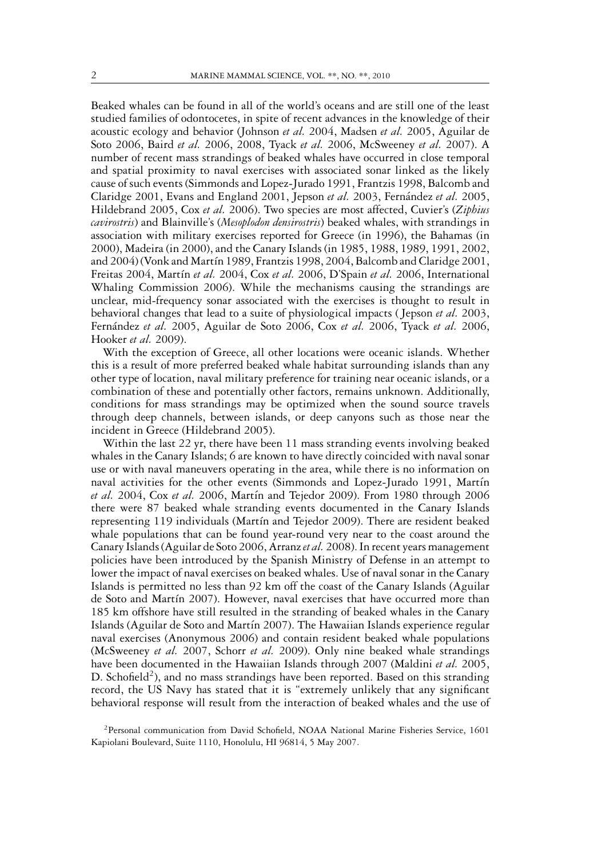Beaked whales can be found in all of the world's oceans and are still one of the least studied families of odontocetes, in spite of recent advances in the knowledge of their acoustic ecology and behavior (Johnson *et al.* 2004, Madsen *et al.* 2005, Aguilar de Soto 2006, Baird *et al.* 2006, 2008, Tyack *et al.* 2006, McSweeney *et al.* 2007). A number of recent mass strandings of beaked whales have occurred in close temporal and spatial proximity to naval exercises with associated sonar linked as the likely cause of such events (Simmonds and Lopez-Jurado 1991, Frantzis 1998, Balcomb and Claridge 2001, Evans and England 2001, Jepson et al. 2003, Fernández et al. 2005, Hildebrand 2005, Cox *et al.* 2006). Two species are most affected, Cuvier's (*Ziphius cavirostris*) and Blainville's (*Mesoplodon densirostris*) beaked whales, with strandings in association with military exercises reported for Greece (in 1996), the Bahamas (in 2000), Madeira (in 2000), and the Canary Islands (in 1985, 1988, 1989, 1991, 2002, and 2004) (Vonk and Martín 1989, Frantzis 1998, 2004, Balcomb and Claridge 2001, Freitas 2004, Martín *et al.* 2004, Cox *et al.* 2006, D'Spain *et al.* 2006, International Whaling Commission 2006). While the mechanisms causing the strandings are unclear, mid-frequency sonar associated with the exercises is thought to result in behavioral changes that lead to a suite of physiological impacts ( Jepson *et al.* 2003, Fernández et al. 2005, Aguilar de Soto 2006, Cox et al. 2006, Tyack et al. 2006, Hooker *et al.* 2009).

With the exception of Greece, all other locations were oceanic islands. Whether this is a result of more preferred beaked whale habitat surrounding islands than any other type of location, naval military preference for training near oceanic islands, or a combination of these and potentially other factors, remains unknown. Additionally, conditions for mass strandings may be optimized when the sound source travels through deep channels, between islands, or deep canyons such as those near the incident in Greece (Hildebrand 2005).

Within the last 22 yr, there have been 11 mass stranding events involving beaked whales in the Canary Islands; 6 are known to have directly coincided with naval sonar use or with naval maneuvers operating in the area, while there is no information on naval activities for the other events (Simmonds and Lopez-Jurado 1991, Martín *et al.* 2004, Cox *et al.* 2006, Mart´ın and Tejedor 2009). From 1980 through 2006 there were 87 beaked whale stranding events documented in the Canary Islands representing 119 individuals (Martín and Tejedor 2009). There are resident beaked whale populations that can be found year-round very near to the coast around the Canary Islands (Aguilar de Soto 2006, Arranz*et al.* 2008). In recent years management policies have been introduced by the Spanish Ministry of Defense in an attempt to lower the impact of naval exercises on beaked whales. Use of naval sonar in the Canary Islands is permitted no less than 92 km off the coast of the Canary Islands (Aguilar de Soto and Martín 2007). However, naval exercises that have occurred more than 185 km offshore have still resulted in the stranding of beaked whales in the Canary Islands (Aguilar de Soto and Mart´ın 2007). The Hawaiian Islands experience regular naval exercises (Anonymous 2006) and contain resident beaked whale populations (McSweeney *et al.* 2007, Schorr *et al.* 2009). Only nine beaked whale strandings have been documented in the Hawaiian Islands through 2007 (Maldini *et al.* 2005, D. Schofield<sup>2</sup>), and no mass strandings have been reported. Based on this stranding record, the US Navy has stated that it is "extremely unlikely that any significant behavioral response will result from the interaction of beaked whales and the use of

<sup>&</sup>lt;sup>2</sup>Personal communication from David Schofield, NOAA National Marine Fisheries Service, 1601 Kapiolani Boulevard, Suite 1110, Honolulu, HI 96814, 5 May 2007.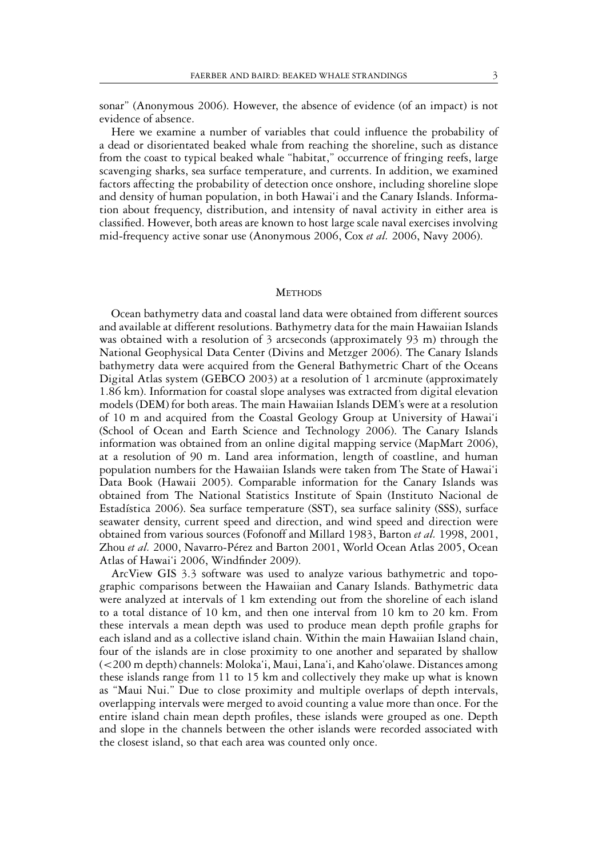sonar" (Anonymous 2006). However, the absence of evidence (of an impact) is not evidence of absence.

Here we examine a number of variables that could influence the probability of a dead or disorientated beaked whale from reaching the shoreline, such as distance from the coast to typical beaked whale "habitat," occurrence of fringing reefs, large scavenging sharks, sea surface temperature, and currents. In addition, we examined factors affecting the probability of detection once onshore, including shoreline slope and density of human population, in both Hawai'i and the Canary Islands. Information about frequency, distribution, and intensity of naval activity in either area is classified. However, both areas are known to host large scale naval exercises involving mid-frequency active sonar use (Anonymous 2006, Cox *et al.* 2006, Navy 2006).

# **METHODS**

Ocean bathymetry data and coastal land data were obtained from different sources and available at different resolutions. Bathymetry data for the main Hawaiian Islands was obtained with a resolution of 3 arcseconds (approximately 93 m) through the National Geophysical Data Center (Divins and Metzger 2006). The Canary Islands bathymetry data were acquired from the General Bathymetric Chart of the Oceans Digital Atlas system (GEBCO 2003) at a resolution of 1 arcminute (approximately 1.86 km). Information for coastal slope analyses was extracted from digital elevation models (DEM) for both areas. The main Hawaiian Islands DEM's were at a resolution of 10 m and acquired from the Coastal Geology Group at University of Hawai'i (School of Ocean and Earth Science and Technology 2006). The Canary Islands information was obtained from an online digital mapping service (MapMart 2006), at a resolution of 90 m. Land area information, length of coastline, and human population numbers for the Hawaiian Islands were taken from The State of Hawai'i Data Book (Hawaii 2005). Comparable information for the Canary Islands was obtained from The National Statistics Institute of Spain (Instituto Nacional de Estadística 2006). Sea surface temperature (SST), sea surface salinity (SSS), surface seawater density, current speed and direction, and wind speed and direction were obtained from various sources (Fofonoff and Millard 1983, Barton *et al.* 1998, 2001, Zhou et al. 2000, Navarro-Pérez and Barton 2001, World Ocean Atlas 2005, Ocean Atlas of Hawai'i 2006, Windfinder 2009).

ArcView GIS 3.3 software was used to analyze various bathymetric and topographic comparisons between the Hawaiian and Canary Islands. Bathymetric data were analyzed at intervals of 1 km extending out from the shoreline of each island to a total distance of 10 km, and then one interval from 10 km to 20 km. From these intervals a mean depth was used to produce mean depth profile graphs for each island and as a collective island chain. Within the main Hawaiian Island chain, four of the islands are in close proximity to one another and separated by shallow (<200 m depth) channels: Moloka'i, Maui, Lana'i, and Kaho'olawe. Distances among these islands range from 11 to 15 km and collectively they make up what is known as "Maui Nui." Due to close proximity and multiple overlaps of depth intervals, overlapping intervals were merged to avoid counting a value more than once. For the entire island chain mean depth profiles, these islands were grouped as one. Depth and slope in the channels between the other islands were recorded associated with the closest island, so that each area was counted only once.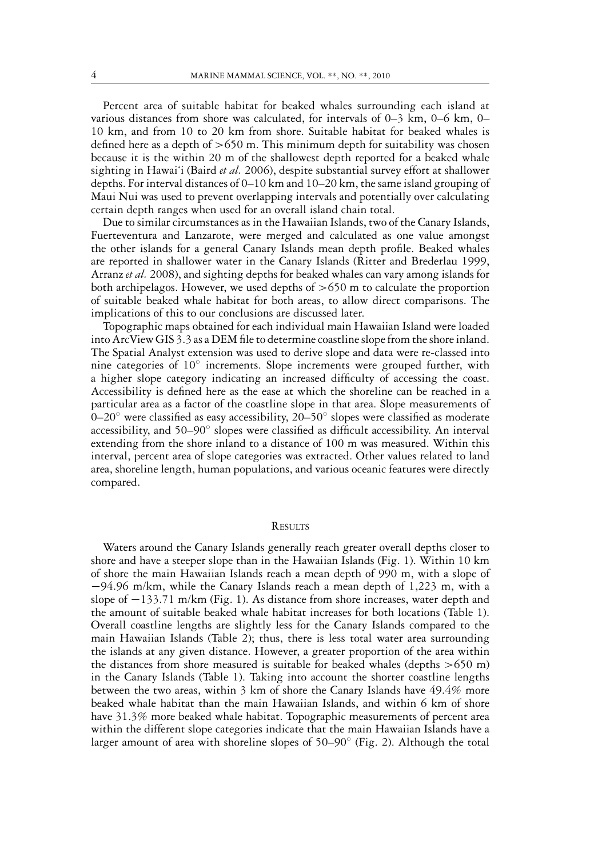Percent area of suitable habitat for beaked whales surrounding each island at various distances from shore was calculated, for intervals of 0–3 km, 0–6 km, 0– 10 km, and from 10 to 20 km from shore. Suitable habitat for beaked whales is defined here as a depth of  $>650$  m. This minimum depth for suitability was chosen because it is the within 20 m of the shallowest depth reported for a beaked whale sighting in Hawai'i (Baird *et al.* 2006), despite substantial survey effort at shallower depths. For interval distances of 0–10 km and 10–20 km, the same island grouping of Maui Nui was used to prevent overlapping intervals and potentially over calculating certain depth ranges when used for an overall island chain total.

Due to similar circumstances as in the Hawaiian Islands, two of the Canary Islands, Fuerteventura and Lanzarote, were merged and calculated as one value amongst the other islands for a general Canary Islands mean depth profile. Beaked whales are reported in shallower water in the Canary Islands (Ritter and Brederlau 1999, Arranz *et al.* 2008), and sighting depths for beaked whales can vary among islands for both archipelagos. However, we used depths of >650 m to calculate the proportion of suitable beaked whale habitat for both areas, to allow direct comparisons. The implications of this to our conclusions are discussed later.

Topographic maps obtained for each individual main Hawaiian Island were loaded into ArcView GIS 3.3 as a DEM file to determine coastline slope from the shore inland. The Spatial Analyst extension was used to derive slope and data were re-classed into nine categories of 10◦ increments. Slope increments were grouped further, with a higher slope category indicating an increased difficulty of accessing the coast. Accessibility is defined here as the ease at which the shoreline can be reached in a particular area as a factor of the coastline slope in that area. Slope measurements of  $0-20^\circ$  were classified as easy accessibility,  $20-50^\circ$  slopes were classified as moderate accessibility, and 50–90◦ slopes were classified as difficult accessibility. An interval extending from the shore inland to a distance of 100 m was measured. Within this interval, percent area of slope categories was extracted. Other values related to land area, shoreline length, human populations, and various oceanic features were directly compared.

# **RESULTS**

Waters around the Canary Islands generally reach greater overall depths closer to shore and have a steeper slope than in the Hawaiian Islands (Fig. 1). Within 10 km of shore the main Hawaiian Islands reach a mean depth of 990 m, with a slope of −94.96 m/km, while the Canary Islands reach a mean depth of 1,223 m, with a slope of −133.71 m/km (Fig. 1). As distance from shore increases, water depth and the amount of suitable beaked whale habitat increases for both locations (Table 1). Overall coastline lengths are slightly less for the Canary Islands compared to the main Hawaiian Islands (Table 2); thus, there is less total water area surrounding the islands at any given distance. However, a greater proportion of the area within the distances from shore measured is suitable for beaked whales (depths  $>650$  m) in the Canary Islands (Table 1). Taking into account the shorter coastline lengths between the two areas, within 3 km of shore the Canary Islands have 49.4% more beaked whale habitat than the main Hawaiian Islands, and within 6 km of shore have 31.3% more beaked whale habitat. Topographic measurements of percent area within the different slope categories indicate that the main Hawaiian Islands have a larger amount of area with shoreline slopes of  $50-90^\circ$  (Fig. 2). Although the total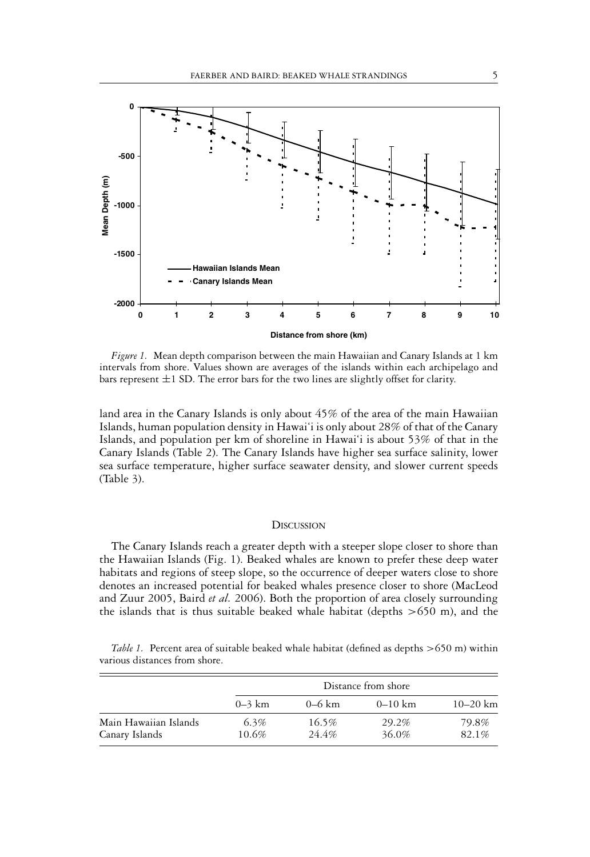

*Figure 1.* Mean depth comparison between the main Hawaiian and Canary Islands at 1 km intervals from shore. Values shown are averages of the islands within each archipelago and bars represent  $\pm 1$  SD. The error bars for the two lines are slightly offset for clarity.

land area in the Canary Islands is only about 45% of the area of the main Hawaiian Islands, human population density in Hawai'i is only about 28% of that of the Canary Islands, and population per km of shoreline in Hawai'i is about 53% of that in the Canary Islands (Table 2). The Canary Islands have higher sea surface salinity, lower sea surface temperature, higher surface seawater density, and slower current speeds (Table 3).

### **DISCUSSION**

The Canary Islands reach a greater depth with a steeper slope closer to shore than the Hawaiian Islands (Fig. 1). Beaked whales are known to prefer these deep water habitats and regions of steep slope, so the occurrence of deeper waters close to shore denotes an increased potential for beaked whales presence closer to shore (MacLeod and Zuur 2005, Baird *et al.* 2006). Both the proportion of area closely surrounding the islands that is thus suitable beaked whale habitat (depths  $>650$  m), and the

*Table 1.* Percent area of suitable beaked whale habitat (defined as depths >650 m) within various distances from shore.

|                                         | Distance from shore |                    |                   |                |  |  |
|-----------------------------------------|---------------------|--------------------|-------------------|----------------|--|--|
|                                         | $0-3$ km            | $0 - 6 \text{ km}$ | $0-10 \;{\rm km}$ | $10 - 20$ km   |  |  |
| Main Hawaiian Islands<br>Canary Islands | $6.3\%$<br>10.6%    | 16.5%<br>24.4%     | 29.2%<br>36.0%    | 79.8%<br>82.1% |  |  |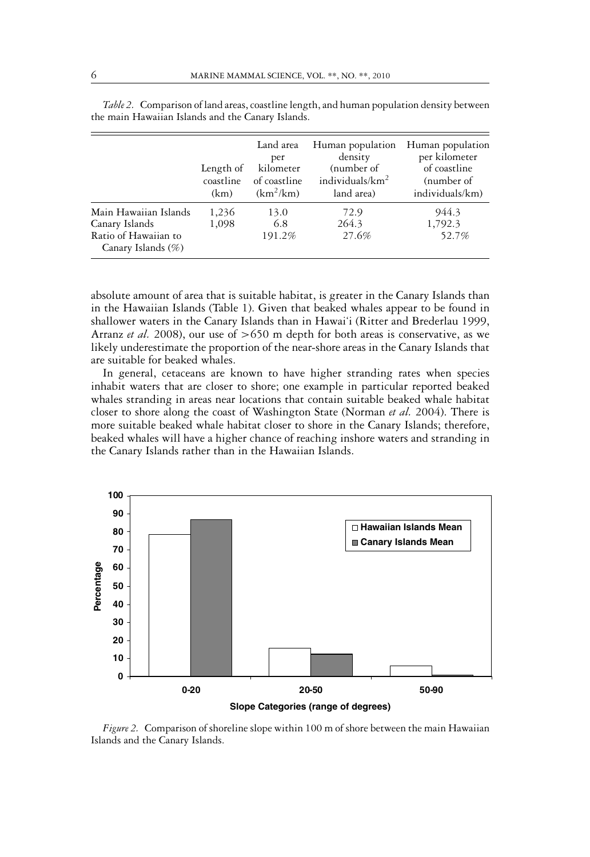|                                                                                          | Length of<br>coastline<br>(km) | Land area<br>per<br>kilometer<br>of coastline<br>$(km^2/km)$ | Human population<br>density<br>(number of<br>individuals/ $km^2$<br>land area) | Human population<br>per kilometer<br>of coastline<br>(number of<br>individuals/km) |
|------------------------------------------------------------------------------------------|--------------------------------|--------------------------------------------------------------|--------------------------------------------------------------------------------|------------------------------------------------------------------------------------|
| Main Hawaiian Islands<br>Canary Islands<br>Ratio of Hawaiian to<br>Canary Islands $(\%)$ | 1,236<br>1,098                 | 13.0<br>6.8<br>191.2%                                        | 72.9<br>264.3<br>27.6%                                                         | 944.3<br>1,792.3<br>52.7%                                                          |

*Table 2.* Comparison of land areas, coastline length, and human population density between the main Hawaiian Islands and the Canary Islands.

absolute amount of area that is suitable habitat, is greater in the Canary Islands than in the Hawaiian Islands (Table 1). Given that beaked whales appear to be found in shallower waters in the Canary Islands than in Hawai'i (Ritter and Brederlau 1999, Arranz *et al.* 2008), our use of >650 m depth for both areas is conservative, as we likely underestimate the proportion of the near-shore areas in the Canary Islands that are suitable for beaked whales.

In general, cetaceans are known to have higher stranding rates when species inhabit waters that are closer to shore; one example in particular reported beaked whales stranding in areas near locations that contain suitable beaked whale habitat closer to shore along the coast of Washington State (Norman *et al.* 2004). There is more suitable beaked whale habitat closer to shore in the Canary Islands; therefore, beaked whales will have a higher chance of reaching inshore waters and stranding in the Canary Islands rather than in the Hawaiian Islands.



*Figure 2.* Comparison of shoreline slope within 100 m of shore between the main Hawaiian Islands and the Canary Islands.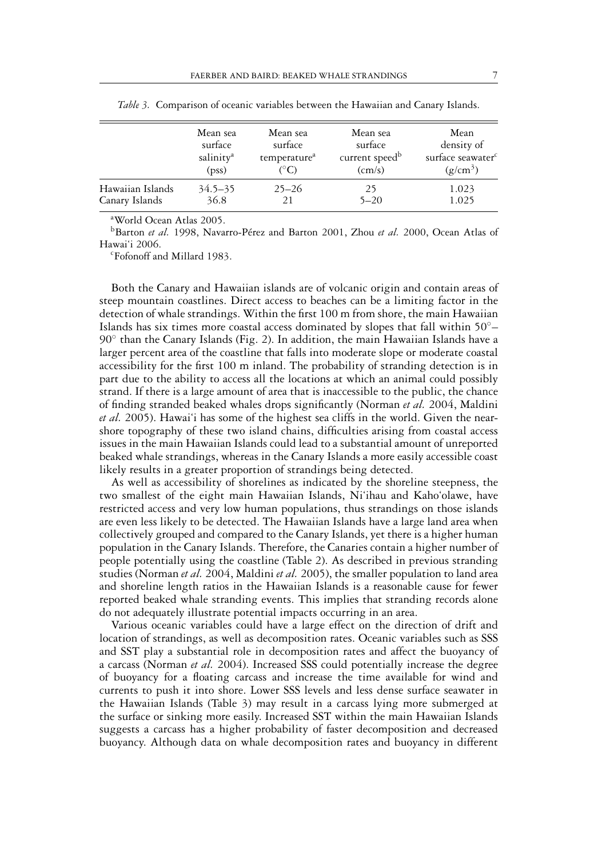|                  | Mean sea              | Mean sea                 | Mean sea                   | Mean                          |
|------------------|-----------------------|--------------------------|----------------------------|-------------------------------|
|                  | surface               | surface                  | surface                    | density of                    |
|                  | salinity <sup>a</sup> | temperature <sup>a</sup> | current speed <sup>b</sup> | surface seawater <sup>c</sup> |
|                  | (pss)                 | (°C)                     | $\text{(cm/s)}$            | $(g/cm^3)$                    |
| Hawaiian Islands | $34.5 - 35$           | $25 - 26$                | 25                         | 1.023                         |
| Canary Islands   | 36.8                  | 21                       | $5 - 20$                   | 1.025                         |

*Table 3.* Comparison of oceanic variables between the Hawaiian and Canary Islands.

a World Ocean Atlas 2005.

<sup>b</sup>Barton et al. 1998, Navarro-Pérez and Barton 2001, Zhou et al. 2000, Ocean Atlas of Hawai'i 2006

Fofonoff and Millard 1983.

Both the Canary and Hawaiian islands are of volcanic origin and contain areas of steep mountain coastlines. Direct access to beaches can be a limiting factor in the detection of whale strandings. Within the first 100 m from shore, the main Hawaiian Islands has six times more coastal access dominated by slopes that fall within 50◦– 90◦ than the Canary Islands (Fig. 2). In addition, the main Hawaiian Islands have a larger percent area of the coastline that falls into moderate slope or moderate coastal accessibility for the first 100 m inland. The probability of stranding detection is in part due to the ability to access all the locations at which an animal could possibly strand. If there is a large amount of area that is inaccessible to the public, the chance of finding stranded beaked whales drops significantly (Norman *et al.* 2004, Maldini *et al.* 2005). Hawai'i has some of the highest sea cliffs in the world. Given the nearshore topography of these two island chains, difficulties arising from coastal access issues in the main Hawaiian Islands could lead to a substantial amount of unreported beaked whale strandings, whereas in the Canary Islands a more easily accessible coast likely results in a greater proportion of strandings being detected.

As well as accessibility of shorelines as indicated by the shoreline steepness, the two smallest of the eight main Hawaiian Islands, Ni'ihau and Kaho'olawe, have restricted access and very low human populations, thus strandings on those islands are even less likely to be detected. The Hawaiian Islands have a large land area when collectively grouped and compared to the Canary Islands, yet there is a higher human population in the Canary Islands. Therefore, the Canaries contain a higher number of people potentially using the coastline (Table 2). As described in previous stranding studies (Norman *et al.* 2004, Maldini *et al.* 2005), the smaller population to land area and shoreline length ratios in the Hawaiian Islands is a reasonable cause for fewer reported beaked whale stranding events. This implies that stranding records alone do not adequately illustrate potential impacts occurring in an area.

Various oceanic variables could have a large effect on the direction of drift and location of strandings, as well as decomposition rates. Oceanic variables such as SSS and SST play a substantial role in decomposition rates and affect the buoyancy of a carcass (Norman *et al.* 2004). Increased SSS could potentially increase the degree of buoyancy for a floating carcass and increase the time available for wind and currents to push it into shore. Lower SSS levels and less dense surface seawater in the Hawaiian Islands (Table 3) may result in a carcass lying more submerged at the surface or sinking more easily. Increased SST within the main Hawaiian Islands suggests a carcass has a higher probability of faster decomposition and decreased buoyancy. Although data on whale decomposition rates and buoyancy in different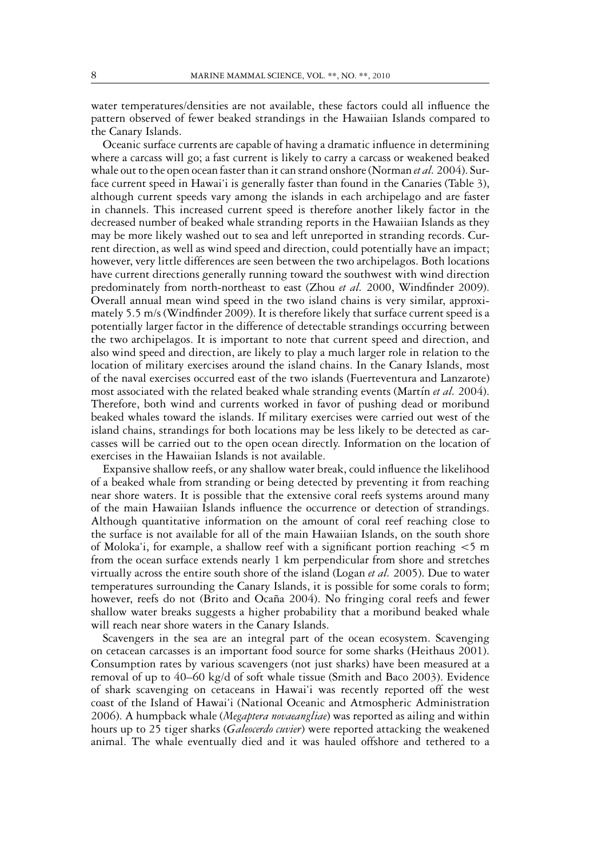water temperatures/densities are not available, these factors could all influence the pattern observed of fewer beaked strandings in the Hawaiian Islands compared to the Canary Islands.

Oceanic surface currents are capable of having a dramatic influence in determining where a carcass will go; a fast current is likely to carry a carcass or weakened beaked whale out to the open ocean faster than it can strand onshore (Norman *et al.* 2004). Surface current speed in Hawai'i is generally faster than found in the Canaries (Table 3), although current speeds vary among the islands in each archipelago and are faster in channels. This increased current speed is therefore another likely factor in the decreased number of beaked whale stranding reports in the Hawaiian Islands as they may be more likely washed out to sea and left unreported in stranding records. Current direction, as well as wind speed and direction, could potentially have an impact; however, very little differences are seen between the two archipelagos. Both locations have current directions generally running toward the southwest with wind direction predominately from north-northeast to east (Zhou *et al.* 2000, Windfinder 2009). Overall annual mean wind speed in the two island chains is very similar, approximately 5.5 m/s (Windfinder 2009). It is therefore likely that surface current speed is a potentially larger factor in the difference of detectable strandings occurring between the two archipelagos. It is important to note that current speed and direction, and also wind speed and direction, are likely to play a much larger role in relation to the location of military exercises around the island chains. In the Canary Islands, most of the naval exercises occurred east of the two islands (Fuerteventura and Lanzarote) most associated with the related beaked whale stranding events (Martín *et al.* 2004). Therefore, both wind and currents worked in favor of pushing dead or moribund beaked whales toward the islands. If military exercises were carried out west of the island chains, strandings for both locations may be less likely to be detected as carcasses will be carried out to the open ocean directly. Information on the location of exercises in the Hawaiian Islands is not available.

Expansive shallow reefs, or any shallow water break, could influence the likelihood of a beaked whale from stranding or being detected by preventing it from reaching near shore waters. It is possible that the extensive coral reefs systems around many of the main Hawaiian Islands influence the occurrence or detection of strandings. Although quantitative information on the amount of coral reef reaching close to the surface is not available for all of the main Hawaiian Islands, on the south shore of Moloka'i, for example, a shallow reef with a significant portion reaching <5 m from the ocean surface extends nearly 1 km perpendicular from shore and stretches virtually across the entire south shore of the island (Logan *et al.* 2005). Due to water temperatures surrounding the Canary Islands, it is possible for some corals to form; however, reefs do not (Brito and Ocaña 2004). No fringing coral reefs and fewer shallow water breaks suggests a higher probability that a moribund beaked whale will reach near shore waters in the Canary Islands.

Scavengers in the sea are an integral part of the ocean ecosystem. Scavenging on cetacean carcasses is an important food source for some sharks (Heithaus 2001). Consumption rates by various scavengers (not just sharks) have been measured at a removal of up to 40–60 kg/d of soft whale tissue (Smith and Baco 2003). Evidence of shark scavenging on cetaceans in Hawai'i was recently reported off the west coast of the Island of Hawai'i (National Oceanic and Atmospheric Administration 2006). A humpback whale (*Megaptera novaeangliae*) was reported as ailing and within hours up to 25 tiger sharks (*Galeocerdo cuvier*) were reported attacking the weakened animal. The whale eventually died and it was hauled offshore and tethered to a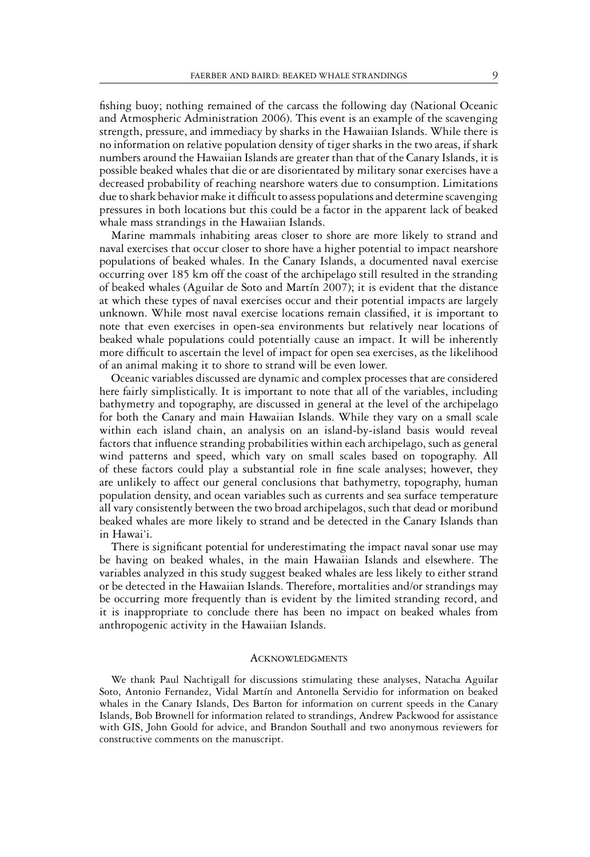fishing buoy; nothing remained of the carcass the following day (National Oceanic and Atmospheric Administration 2006). This event is an example of the scavenging strength, pressure, and immediacy by sharks in the Hawaiian Islands. While there is no information on relative population density of tiger sharks in the two areas, if shark numbers around the Hawaiian Islands are greater than that of the Canary Islands, it is possible beaked whales that die or are disorientated by military sonar exercises have a decreased probability of reaching nearshore waters due to consumption. Limitations due to shark behavior make it difficult to assess populations and determine scavenging pressures in both locations but this could be a factor in the apparent lack of beaked whale mass strandings in the Hawaiian Islands.

Marine mammals inhabiting areas closer to shore are more likely to strand and naval exercises that occur closer to shore have a higher potential to impact nearshore populations of beaked whales. In the Canary Islands, a documented naval exercise occurring over 185 km off the coast of the archipelago still resulted in the stranding of beaked whales (Aguilar de Soto and Martín 2007); it is evident that the distance at which these types of naval exercises occur and their potential impacts are largely unknown. While most naval exercise locations remain classified, it is important to note that even exercises in open-sea environments but relatively near locations of beaked whale populations could potentially cause an impact. It will be inherently more difficult to ascertain the level of impact for open sea exercises, as the likelihood of an animal making it to shore to strand will be even lower.

Oceanic variables discussed are dynamic and complex processes that are considered here fairly simplistically. It is important to note that all of the variables, including bathymetry and topography, are discussed in general at the level of the archipelago for both the Canary and main Hawaiian Islands. While they vary on a small scale within each island chain, an analysis on an island-by-island basis would reveal factors that influence stranding probabilities within each archipelago, such as general wind patterns and speed, which vary on small scales based on topography. All of these factors could play a substantial role in fine scale analyses; however, they are unlikely to affect our general conclusions that bathymetry, topography, human population density, and ocean variables such as currents and sea surface temperature all vary consistently between the two broad archipelagos, such that dead or moribund beaked whales are more likely to strand and be detected in the Canary Islands than in Hawai'i.

There is significant potential for underestimating the impact naval sonar use may be having on beaked whales, in the main Hawaiian Islands and elsewhere. The variables analyzed in this study suggest beaked whales are less likely to either strand or be detected in the Hawaiian Islands. Therefore, mortalities and/or strandings may be occurring more frequently than is evident by the limited stranding record, and it is inappropriate to conclude there has been no impact on beaked whales from anthropogenic activity in the Hawaiian Islands.

## **ACKNOWLEDGMENTS**

We thank Paul Nachtigall for discussions stimulating these analyses, Natacha Aguilar Soto, Antonio Fernandez, Vidal Martín and Antonella Servidio for information on beaked whales in the Canary Islands, Des Barton for information on current speeds in the Canary Islands, Bob Brownell for information related to strandings, Andrew Packwood for assistance with GIS, John Goold for advice, and Brandon Southall and two anonymous reviewers for constructive comments on the manuscript.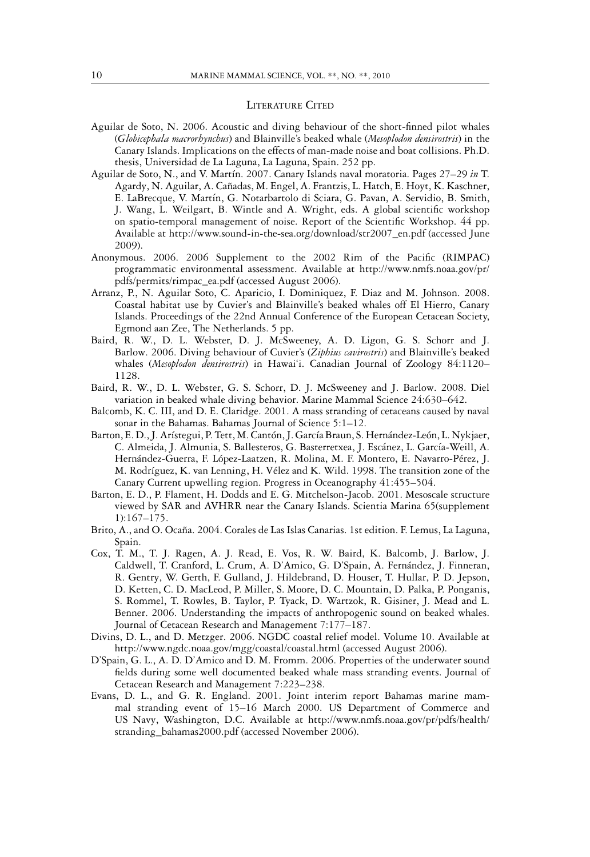#### LITERATURE CITED

- Aguilar de Soto, N. 2006. Acoustic and diving behaviour of the short-finned pilot whales (*Globicephala macrorhynchus*) and Blainville's beaked whale (*Mesoplodon densirostris*) in the Canary Islands. Implications on the effects of man-made noise and boat collisions. Ph.D. thesis, Universidad de La Laguna, La Laguna, Spain. 252 pp.
- Aguilar de Soto, N., and V. Mart´ın. 2007. Canary Islands naval moratoria. Pages 27–29 *in* T. Agardy, N. Aguilar, A. Cañadas, M. Engel, A. Frantzis, L. Hatch, E. Hoyt, K. Kaschner, E. LaBrecque, V. Martín, G. Notarbartolo di Sciara, G. Pavan, A. Servidio, B. Smith, J. Wang, L. Weilgart, B. Wintle and A. Wright, eds. A global scientific workshop on spatio-temporal management of noise. Report of the Scientific Workshop. 44 pp. Available at http://www.sound-in-the-sea.org/download/str2007\_en.pdf (accessed June 2009).
- Anonymous. 2006. 2006 Supplement to the 2002 Rim of the Pacific (RIMPAC) programmatic environmental assessment. Available at http://www.nmfs.noaa.gov/pr/ pdfs/permits/rimpac\_ea.pdf (accessed August 2006).
- Arranz, P., N. Aguilar Soto, C. Aparicio, I. Dominiquez, F. Diaz and M. Johnson. 2008. Coastal habitat use by Cuvier's and Blainville's beaked whales off El Hierro, Canary Islands. Proceedings of the 22nd Annual Conference of the European Cetacean Society, Egmond aan Zee, The Netherlands. 5 pp.
- Baird, R. W., D. L. Webster, D. J. McSweeney, A. D. Ligon, G. S. Schorr and J. Barlow. 2006. Diving behaviour of Cuvier's (*Ziphius cavirostris*) and Blainville's beaked whales (*Mesoplodon densirostris*) in Hawai'i. Canadian Journal of Zoology 84:1120– 1128.
- Baird, R. W., D. L. Webster, G. S. Schorr, D. J. McSweeney and J. Barlow. 2008. Diel variation in beaked whale diving behavior. Marine Mammal Science 24:630–642.
- Balcomb, K. C. III, and D. E. Claridge. 2001. A mass stranding of cetaceans caused by naval sonar in the Bahamas. Bahamas Journal of Science 5:1–12.
- Barton, E. D., J. Arístegui, P. Tett, M. Cantón, J. García Braun, S. Hernández-León, L. Nykjaer, C. Almeida, J. Almunia, S. Ballesteros, G. Basterretxea, J. Escánez, L. García-Weill, A. Hernández-Guerra, F. López-Laatzen, R. Molina, M. F. Montero, E. Navarro-Pérez, J. M. Rodríguez, K. van Lenning, H. Vélez and K. Wild. 1998. The transition zone of the Canary Current upwelling region. Progress in Oceanography 41:455–504.
- Barton, E. D., P. Flament, H. Dodds and E. G. Mitchelson-Jacob. 2001. Mesoscale structure viewed by SAR and AVHRR near the Canary Islands. Scientia Marina 65(supplement 1):167–175.
- Brito, A., and O. Ocaña. 2004. Corales de Las Islas Canarias. 1st edition. F. Lemus, La Laguna, Spain.
- Cox, T. M., T. J. Ragen, A. J. Read, E. Vos, R. W. Baird, K. Balcomb, J. Barlow, J. Caldwell, T. Cranford, L. Crum, A. D'Amico, G. D'Spain, A. Fernández, J. Finneran, R. Gentry, W. Gerth, F. Gulland, J. Hildebrand, D. Houser, T. Hullar, P. D. Jepson, D. Ketten, C. D. MacLeod, P. Miller, S. Moore, D. C. Mountain, D. Palka, P. Ponganis, S. Rommel, T. Rowles, B. Taylor, P. Tyack, D. Wartzok, R. Gisiner, J. Mead and L. Benner. 2006. Understanding the impacts of anthropogenic sound on beaked whales. Journal of Cetacean Research and Management 7:177–187.
- Divins, D. L., and D. Metzger. 2006. NGDC coastal relief model. Volume 10. Available at http://www.ngdc.noaa.gov/mgg/coastal/coastal.html (accessed August 2006).
- D'Spain, G. L., A. D. D'Amico and D. M. Fromm. 2006. Properties of the underwater sound fields during some well documented beaked whale mass stranding events. Journal of Cetacean Research and Management 7:223–238.
- Evans, D. L., and G. R. England. 2001. Joint interim report Bahamas marine mammal stranding event of 15–16 March 2000. US Department of Commerce and US Navy, Washington, D.C. Available at http://www.nmfs.noaa.gov/pr/pdfs/health/ stranding\_bahamas2000.pdf (accessed November 2006).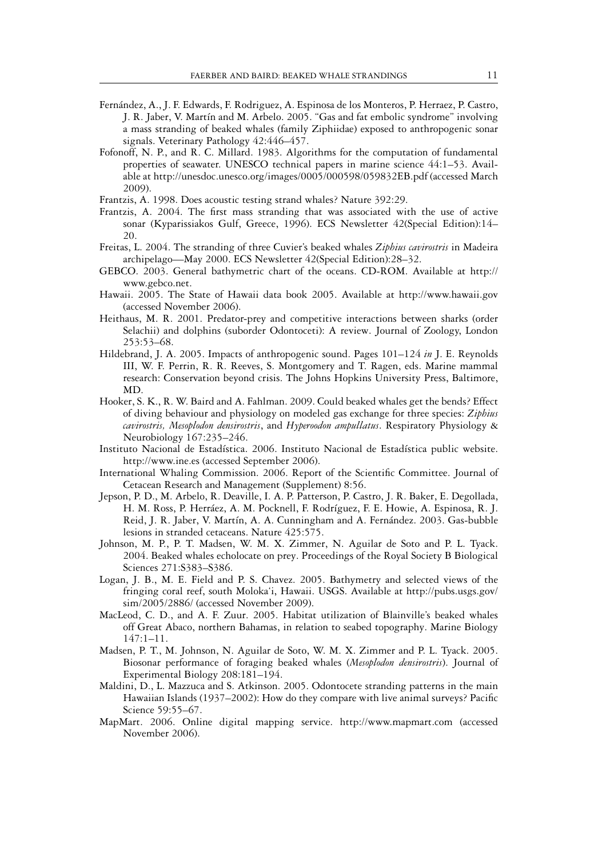- Fernandez, A., J. F. Edwards, F. Rodriguez, A. Espinosa de los Monteros, P. Herraez, P. Castro, ´ J. R. Jaber, V. Mart´ın and M. Arbelo. 2005. "Gas and fat embolic syndrome" involving a mass stranding of beaked whales (family Ziphiidae) exposed to anthropogenic sonar signals. Veterinary Pathology 42:446–457.
- Fofonoff, N. P., and R. C. Millard. 1983. Algorithms for the computation of fundamental properties of seawater. UNESCO technical papers in marine science 44:1–53. Available at http://unesdoc.unesco.org/images/0005/000598/059832EB.pdf (accessed March 2009).
- Frantzis, A. 1998. Does acoustic testing strand whales? Nature 392:29.
- Frantzis, A. 2004. The first mass stranding that was associated with the use of active sonar (Kyparissiakos Gulf, Greece, 1996). ECS Newsletter 42(Special Edition):14– 20.
- Freitas, L. 2004. The stranding of three Cuvier's beaked whales *Ziphius cavirostris* in Madeira archipelago—May 2000. ECS Newsletter 42(Special Edition):28–32.
- GEBCO. 2003. General bathymetric chart of the oceans. CD-ROM. Available at http:// www.gebco.net.
- Hawaii. 2005. The State of Hawaii data book 2005. Available at http://www.hawaii.gov (accessed November 2006).
- Heithaus, M. R. 2001. Predator-prey and competitive interactions between sharks (order Selachii) and dolphins (suborder Odontoceti): A review. Journal of Zoology, London 253:53–68.
- Hildebrand, J. A. 2005. Impacts of anthropogenic sound. Pages 101–124 *in* J. E. Reynolds III, W. F. Perrin, R. R. Reeves, S. Montgomery and T. Ragen, eds. Marine mammal research: Conservation beyond crisis. The Johns Hopkins University Press, Baltimore, MD.
- Hooker, S. K., R. W. Baird and A. Fahlman. 2009. Could beaked whales get the bends? Effect of diving behaviour and physiology on modeled gas exchange for three species: *Ziphius cavirostris, Mesoplodon densirostris*, and *Hyperoodon ampullatus*. Respiratory Physiology & Neurobiology 167:235–246.
- Instituto Nacional de Estadística. 2006. Instituto Nacional de Estadística public website. http://www.ine.es (accessed September 2006).
- International Whaling Commission. 2006. Report of the Scientific Committee. Journal of Cetacean Research and Management (Supplement) 8:56.
- Jepson, P. D., M. Arbelo, R. Deaville, I. A. P. Patterson, P. Castro, J. R. Baker, E. Degollada, H. M. Ross, P. Herráez, A. M. Pocknell, F. Rodríguez, F. E. Howie, A. Espinosa, R. J. Reid, J. R. Jaber, V. Martín, A. A. Cunningham and A. Fernández. 2003. Gas-bubble lesions in stranded cetaceans. Nature 425:575.
- Johnson, M. P., P. T. Madsen, W. M. X. Zimmer, N. Aguilar de Soto and P. L. Tyack. 2004. Beaked whales echolocate on prey. Proceedings of the Royal Society B Biological Sciences 271:S383–S386.
- Logan, J. B., M. E. Field and P. S. Chavez. 2005. Bathymetry and selected views of the fringing coral reef, south Moloka'i, Hawaii. USGS. Available at http://pubs.usgs.gov/ sim/2005/2886/ (accessed November 2009).
- MacLeod, C. D., and A. F. Zuur. 2005. Habitat utilization of Blainville's beaked whales off Great Abaco, northern Bahamas, in relation to seabed topography. Marine Biology 147:1–11.
- Madsen, P. T., M. Johnson, N. Aguilar de Soto, W. M. X. Zimmer and P. L. Tyack. 2005. Biosonar performance of foraging beaked whales (*Mesoplodon densirostris*). Journal of Experimental Biology 208:181–194.
- Maldini, D., L. Mazzuca and S. Atkinson. 2005. Odontocete stranding patterns in the main Hawaiian Islands (1937–2002): How do they compare with live animal surveys? Pacific Science 59:55–67.
- MapMart. 2006. Online digital mapping service. http://www.mapmart.com (accessed November 2006).